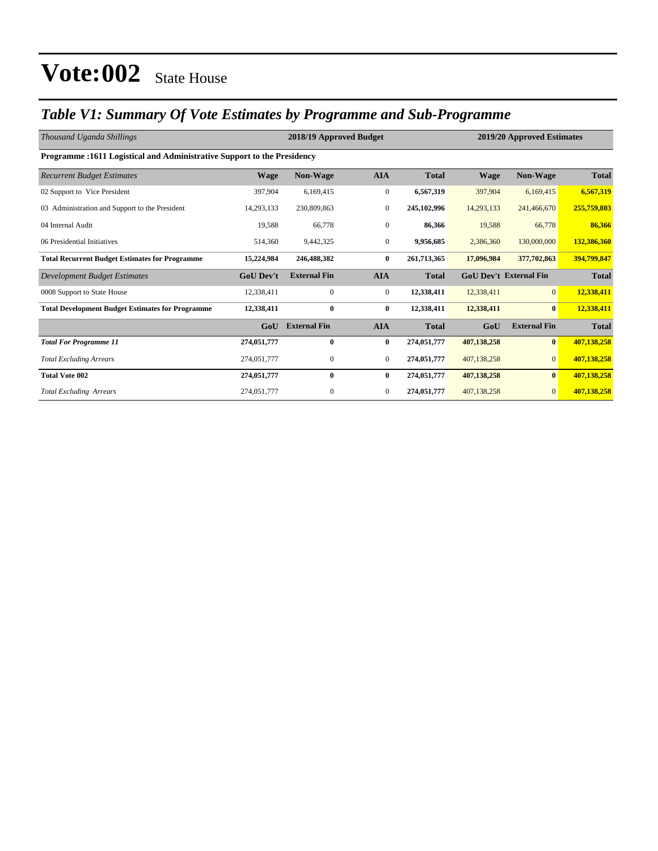#### *Table V1: Summary Of Vote Estimates by Programme and Sub-Programme*

| Thousand Uganda Shillings                                               |                  | 2018/19 Approved Budget<br>2019/20 Approved Estimates |                  |              |                               |                     |              |
|-------------------------------------------------------------------------|------------------|-------------------------------------------------------|------------------|--------------|-------------------------------|---------------------|--------------|
| Programme :1611 Logistical and Administrative Support to the Presidency |                  |                                                       |                  |              |                               |                     |              |
| <b>Recurrent Budget Estimates</b>                                       | <b>Wage</b>      | Non-Wage                                              | <b>AIA</b>       | <b>Total</b> | <b>Wage</b>                   | <b>Non-Wage</b>     | <b>Total</b> |
| 02 Support to Vice President                                            | 397,904          | 6,169,415                                             | $\boldsymbol{0}$ | 6,567,319    | 397,904                       | 6,169,415           | 6,567,319    |
| 03 Administration and Support to the President                          | 14,293,133       | 230,809,863                                           | $\mathbf{0}$     | 245,102,996  | 14,293,133                    | 241,466,670         | 255,759,803  |
| 04 Internal Audit                                                       | 19,588           | 66,778                                                | $\mathbf{0}$     | 86,366       | 19,588                        | 66,778              | 86,366       |
| 06 Presidential Initiatives                                             | 514,360          | 9,442,325                                             | $\mathbf{0}$     | 9,956,685    | 2,386,360                     | 130,000,000         | 132,386,360  |
| <b>Total Recurrent Budget Estimates for Programme</b>                   | 15,224,984       | 246,488,382                                           | $\bf{0}$         | 261,713,365  | 17,096,984                    | 377,702,863         | 394,799,847  |
| Development Budget Estimates                                            | <b>GoU Dev't</b> | <b>External Fin</b>                                   | <b>AIA</b>       | <b>Total</b> | <b>GoU Dev't External Fin</b> |                     | <b>Total</b> |
| 0008 Support to State House                                             | 12,338,411       | $\mathbf{0}$                                          | $\boldsymbol{0}$ | 12,338,411   | 12,338,411                    | $\overline{0}$      | 12,338,411   |
| <b>Total Development Budget Estimates for Programme</b>                 | 12,338,411       | $\bf{0}$                                              | $\bf{0}$         | 12,338,411   | 12,338,411                    | $\bf{0}$            | 12,338,411   |
|                                                                         | GoU              | <b>External Fin</b>                                   | <b>AIA</b>       | <b>Total</b> | GoU                           | <b>External Fin</b> | <b>Total</b> |
| <b>Total For Programme 11</b>                                           | 274,051,777      | $\bf{0}$                                              | $\bf{0}$         | 274,051,777  | 407,138,258                   | $\bf{0}$            | 407,138,258  |
| <b>Total Excluding Arrears</b>                                          | 274,051,777      | $\mathbf{0}$                                          | $\boldsymbol{0}$ | 274,051,777  | 407,138,258                   | $\overline{0}$      | 407,138,258  |
| <b>Total Vote 002</b>                                                   | 274,051,777      | $\bf{0}$                                              | $\bf{0}$         | 274,051,777  | 407,138,258                   | $\mathbf{0}$        | 407,138,258  |
| <b>Total Excluding Arrears</b>                                          | 274,051,777      | $\mathbf{0}$                                          | $\mathbf{0}$     | 274,051,777  | 407,138,258                   | $\mathbf{0}$        | 407,138,258  |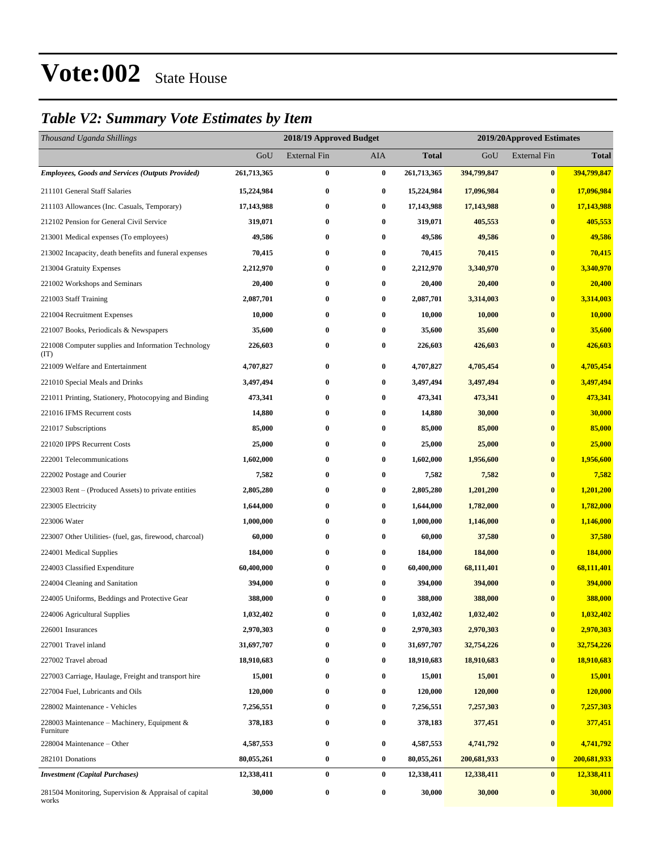#### *Table V2: Summary Vote Estimates by Item*

| Thousand Uganda Shillings                                      |             | 2018/19 Approved Budget |          |             | 2019/20Approved Estimates |                     |              |
|----------------------------------------------------------------|-------------|-------------------------|----------|-------------|---------------------------|---------------------|--------------|
|                                                                | GoU         | <b>External Fin</b>     | AIA      | Total       | GoU                       | <b>External Fin</b> | <b>Total</b> |
| <b>Employees, Goods and Services (Outputs Provided)</b>        | 261,713,365 | $\bf{0}$                | $\bf{0}$ | 261,713,365 | 394,799,847               | $\bf{0}$            | 394,799,847  |
| 211101 General Staff Salaries                                  | 15,224,984  | $\bf{0}$                | $\bf{0}$ | 15,224,984  | 17,096,984                | $\bf{0}$            | 17,096,984   |
| 211103 Allowances (Inc. Casuals, Temporary)                    | 17,143,988  | 0                       | $\bf{0}$ | 17,143,988  | 17,143,988                | $\bf{0}$            | 17,143,988   |
| 212102 Pension for General Civil Service                       | 319,071     | $\bf{0}$                | $\bf{0}$ | 319,071     | 405,553                   | $\bf{0}$            | 405,553      |
| 213001 Medical expenses (To employees)                         | 49,586      | $\bf{0}$                | $\bf{0}$ | 49,586      | 49,586                    | $\bf{0}$            | 49,586       |
| 213002 Incapacity, death benefits and funeral expenses         | 70,415      | 0                       | $\bf{0}$ | 70,415      | 70,415                    | $\bf{0}$            | 70,415       |
| 213004 Gratuity Expenses                                       | 2,212,970   | $\bf{0}$                | $\bf{0}$ | 2,212,970   | 3,340,970                 | $\bf{0}$            | 3,340,970    |
| 221002 Workshops and Seminars                                  | 20,400      | 0                       | $\bf{0}$ | 20,400      | 20,400                    | $\bf{0}$            | 20,400       |
| 221003 Staff Training                                          | 2,087,701   | $\bf{0}$                | $\bf{0}$ | 2,087,701   | 3,314,003                 | $\bf{0}$            | 3,314,003    |
| 221004 Recruitment Expenses                                    | 10,000      | 0                       | $\bf{0}$ | 10,000      | 10,000                    | $\bf{0}$            | 10,000       |
| 221007 Books, Periodicals & Newspapers                         | 35,600      | $\bf{0}$                | $\bf{0}$ | 35,600      | 35,600                    | $\bf{0}$            | 35,600       |
| 221008 Computer supplies and Information Technology<br>(TT)    | 226,603     | $\bf{0}$                | 0        | 226,603     | 426,603                   | $\bf{0}$            | 426,603      |
| 221009 Welfare and Entertainment                               | 4,707,827   | $\bf{0}$                | $\bf{0}$ | 4,707,827   | 4,705,454                 | $\bf{0}$            | 4,705,454    |
| 221010 Special Meals and Drinks                                | 3,497,494   | $\bf{0}$                | $\bf{0}$ | 3,497,494   | 3,497,494                 | $\bf{0}$            | 3,497,494    |
| 221011 Printing, Stationery, Photocopying and Binding          | 473,341     | $\bf{0}$                | $\bf{0}$ | 473,341     | 473,341                   | $\bf{0}$            | 473,341      |
| 221016 IFMS Recurrent costs                                    | 14,880      | 0                       | $\bf{0}$ | 14,880      | 30,000                    | $\bf{0}$            | 30,000       |
| 221017 Subscriptions                                           | 85,000      | 0                       | $\bf{0}$ | 85,000      | 85,000                    | $\bf{0}$            | 85,000       |
| 221020 IPPS Recurrent Costs                                    | 25,000      | $\bf{0}$                | $\bf{0}$ | 25,000      | 25,000                    | $\bf{0}$            | 25,000       |
| 222001 Telecommunications                                      | 1,602,000   | $\bf{0}$                | $\bf{0}$ | 1,602,000   | 1,956,600                 | $\bf{0}$            | 1,956,600    |
| 222002 Postage and Courier                                     | 7,582       | $\bf{0}$                | $\bf{0}$ | 7,582       | 7,582                     | $\bf{0}$            | 7,582        |
| 223003 Rent – (Produced Assets) to private entities            | 2,805,280   | $\bf{0}$                | $\bf{0}$ | 2,805,280   | 1,201,200                 | $\bf{0}$            | 1,201,200    |
| 223005 Electricity                                             | 1,644,000   | $\bf{0}$                | $\bf{0}$ | 1,644,000   | 1,782,000                 | $\bf{0}$            | 1,782,000    |
| 223006 Water                                                   | 1,000,000   | $\bf{0}$                | $\bf{0}$ | 1,000,000   | 1,146,000                 | $\bf{0}$            | 1,146,000    |
| 223007 Other Utilities- (fuel, gas, firewood, charcoal)        | 60,000      | $\bf{0}$                | $\bf{0}$ | 60,000      | 37,580                    | $\bf{0}$            | 37,580       |
| 224001 Medical Supplies                                        | 184,000     | $\bf{0}$                | $\bf{0}$ | 184,000     | 184,000                   | $\bf{0}$            | 184,000      |
| 224003 Classified Expenditure                                  | 60,400,000  | $\bf{0}$                | $\bf{0}$ | 60,400,000  | 68,111,401                | $\bf{0}$            | 68,111,401   |
| 224004 Cleaning and Sanitation                                 | 394,000     | $\bf{0}$                | $\bf{0}$ | 394,000     | 394,000                   | $\bf{0}$            | 394,000      |
| 224005 Uniforms, Beddings and Protective Gear                  | 388,000     | $\bf{0}$                | $\bf{0}$ | 388,000     | 388,000                   | $\bf{0}$            | 388,000      |
| 224006 Agricultural Supplies                                   | 1,032,402   | $\boldsymbol{0}$        | $\bf{0}$ | 1,032,402   | 1,032,402                 | $\bf{0}$            | 1,032,402    |
| 226001 Insurances                                              | 2,970,303   | $\bf{0}$                | 0        | 2,970,303   | 2,970,303                 | $\bf{0}$            | 2,970,303    |
| 227001 Travel inland                                           | 31,697,707  | $\bf{0}$                | $\bf{0}$ | 31,697,707  | 32,754,226                | $\bf{0}$            | 32,754,226   |
| 227002 Travel abroad                                           | 18,910,683  | $\bf{0}$                | $\bf{0}$ | 18,910,683  | 18,910,683                | $\bf{0}$            | 18,910,683   |
| 227003 Carriage, Haulage, Freight and transport hire           | 15,001      | $\bf{0}$                | $\bf{0}$ | 15,001      | 15,001                    | $\bf{0}$            | 15,001       |
| 227004 Fuel, Lubricants and Oils                               | 120,000     | $\bf{0}$                | $\bf{0}$ | 120,000     | 120,000                   | $\bf{0}$            | 120,000      |
| 228002 Maintenance - Vehicles                                  | 7,256,551   | $\bf{0}$                | $\bf{0}$ | 7,256,551   | 7,257,303                 | $\bf{0}$            | 7,257,303    |
| 228003 Maintenance – Machinery, Equipment &<br>Furniture       | 378,183     | $\bf{0}$                | $\bf{0}$ | 378,183     | 377,451                   | $\bf{0}$            | 377,451      |
| 228004 Maintenance – Other                                     | 4,587,553   | $\bf{0}$                | $\bf{0}$ | 4,587,553   | 4,741,792                 | $\bf{0}$            | 4,741,792    |
| 282101 Donations                                               | 80,055,261  | $\bf{0}$                | $\bf{0}$ | 80,055,261  | 200,681,933               | $\bf{0}$            | 200,681,933  |
| <b>Investment</b> (Capital Purchases)                          | 12,338,411  | $\bf{0}$                | $\bf{0}$ | 12,338,411  | 12,338,411                | $\bf{0}$            | 12,338,411   |
| 281504 Monitoring, Supervision & Appraisal of capital<br>works | 30,000      | $\boldsymbol{0}$        | $\bf{0}$ | 30,000      | 30,000                    | $\bf{0}$            | 30,000       |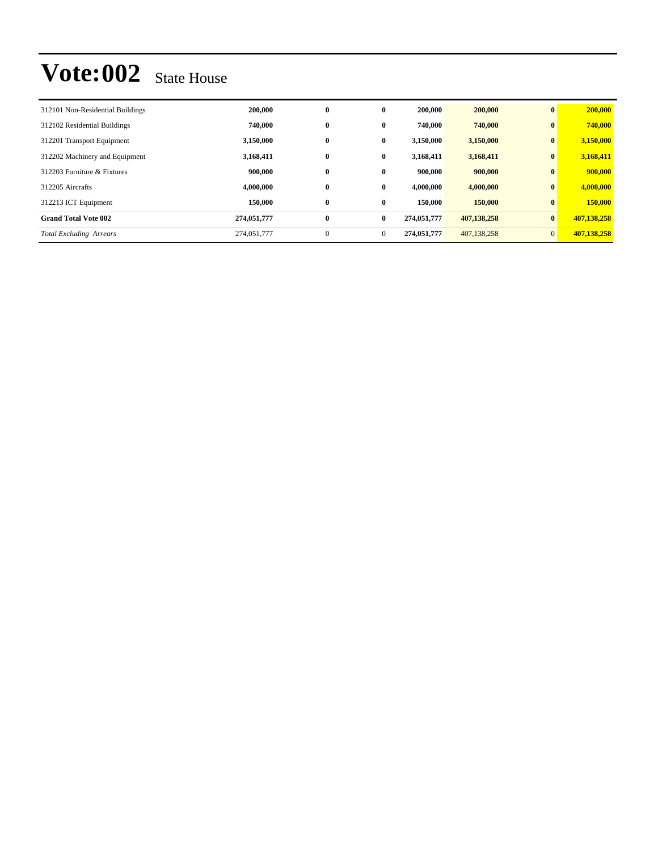| 312101 Non-Residential Buildings | 200,000     | $\bf{0}$     | $\bf{0}$       | 200,000     | 200,000     | $\mathbf{0}$    | 200,000     |
|----------------------------------|-------------|--------------|----------------|-------------|-------------|-----------------|-------------|
| 312102 Residential Buildings     | 740,000     | $\bf{0}$     | $\mathbf{0}$   | 740,000     | 740,000     | $\bf{0}$        | 740,000     |
| 312201 Transport Equipment       | 3,150,000   | $\bf{0}$     | $\bf{0}$       | 3,150,000   | 3,150,000   | $\bf{0}$        | 3,150,000   |
| 312202 Machinery and Equipment   | 3,168,411   | $\bf{0}$     | $\bf{0}$       | 3,168,411   | 3,168,411   | $\bf{0}$        | 3,168,411   |
| 312203 Furniture & Fixtures      | 900,000     | $\bf{0}$     | $\bf{0}$       | 900,000     | 900,000     | $\mathbf{0}$    | 900,000     |
| 312205 Aircrafts                 | 4,000,000   | $\bf{0}$     | $\mathbf{0}$   | 4.000.000   | 4,000,000   | $\bf{0}$        | 4,000,000   |
| 312213 ICT Equipment             | 150,000     | $\bf{0}$     | $\bf{0}$       | 150,000     | 150,000     | $\mathbf{0}$    | 150,000     |
| <b>Grand Total Vote 002</b>      | 274,051,777 | $\bf{0}$     | $\bf{0}$       | 274,051,777 | 407,138,258 | $\vert 0 \vert$ | 407,138,258 |
| <b>Total Excluding Arrears</b>   | 274,051,777 | $\mathbf{0}$ | $\overline{0}$ | 274,051,777 | 407,138,258 | $\overline{0}$  | 407,138,258 |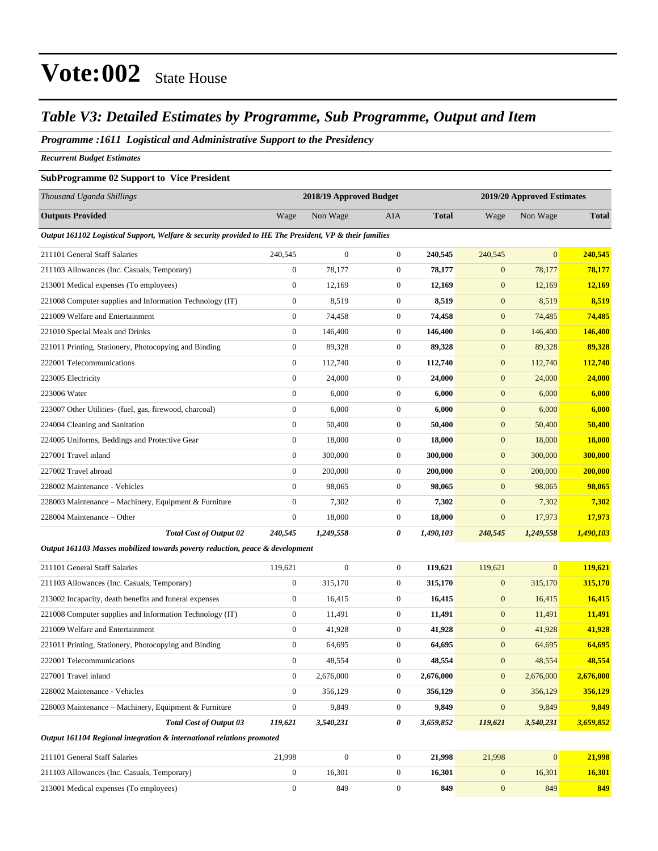#### *Table V3: Detailed Estimates by Programme, Sub Programme, Output and Item*

#### *Programme :1611 Logistical and Administrative Support to the Presidency*

*Recurrent Budget Estimates*

#### **SubProgramme 02 Support to Vice President**

| Thousand Uganda Shillings                                                                              |                  | 2018/19 Approved Budget |                  |              | 2019/20 Approved Estimates |                |              |
|--------------------------------------------------------------------------------------------------------|------------------|-------------------------|------------------|--------------|----------------------------|----------------|--------------|
| <b>Outputs Provided</b>                                                                                | Wage             | Non Wage                | <b>AIA</b>       | <b>Total</b> | Wage                       | Non Wage       | <b>Total</b> |
| Output 161102 Logistical Support, Welfare & security provided to HE The President, VP & their families |                  |                         |                  |              |                            |                |              |
| 211101 General Staff Salaries                                                                          | 240,545          | $\boldsymbol{0}$        | $\boldsymbol{0}$ | 240,545      | 240,545                    | $\overline{0}$ | 240,545      |
| 211103 Allowances (Inc. Casuals, Temporary)                                                            | $\mathbf{0}$     | 78,177                  | $\boldsymbol{0}$ | 78,177       | $\boldsymbol{0}$           | 78,177         | 78,177       |
| 213001 Medical expenses (To employees)                                                                 | $\boldsymbol{0}$ | 12,169                  | $\boldsymbol{0}$ | 12,169       | $\boldsymbol{0}$           | 12,169         | 12,169       |
| 221008 Computer supplies and Information Technology (IT)                                               | $\boldsymbol{0}$ | 8,519                   | $\boldsymbol{0}$ | 8,519        | $\boldsymbol{0}$           | 8,519          | 8,519        |
| 221009 Welfare and Entertainment                                                                       | $\boldsymbol{0}$ | 74,458                  | $\boldsymbol{0}$ | 74,458       | $\boldsymbol{0}$           | 74,485         | 74,485       |
| 221010 Special Meals and Drinks                                                                        | $\boldsymbol{0}$ | 146,400                 | $\boldsymbol{0}$ | 146,400      | $\mathbf{0}$               | 146,400        | 146,400      |
| 221011 Printing, Stationery, Photocopying and Binding                                                  | $\boldsymbol{0}$ | 89,328                  | $\boldsymbol{0}$ | 89,328       | $\boldsymbol{0}$           | 89,328         | 89,328       |
| 222001 Telecommunications                                                                              | $\boldsymbol{0}$ | 112,740                 | $\boldsymbol{0}$ | 112,740      | $\boldsymbol{0}$           | 112,740        | 112,740      |
| 223005 Electricity                                                                                     | $\boldsymbol{0}$ | 24,000                  | $\boldsymbol{0}$ | 24,000       | $\mathbf{0}$               | 24,000         | 24,000       |
| 223006 Water                                                                                           | $\boldsymbol{0}$ | 6,000                   | $\boldsymbol{0}$ | 6,000        | $\mathbf{0}$               | 6,000          | 6,000        |
| 223007 Other Utilities- (fuel, gas, firewood, charcoal)                                                | $\boldsymbol{0}$ | 6,000                   | $\boldsymbol{0}$ | 6,000        | $\mathbf{0}$               | 6,000          | 6,000        |
| 224004 Cleaning and Sanitation                                                                         | $\boldsymbol{0}$ | 50,400                  | $\boldsymbol{0}$ | 50,400       | $\boldsymbol{0}$           | 50,400         | 50,400       |
| 224005 Uniforms, Beddings and Protective Gear                                                          | $\boldsymbol{0}$ | 18,000                  | $\boldsymbol{0}$ | 18,000       | $\boldsymbol{0}$           | 18,000         | 18,000       |
| 227001 Travel inland                                                                                   | $\boldsymbol{0}$ | 300,000                 | $\boldsymbol{0}$ | 300,000      | $\boldsymbol{0}$           | 300,000        | 300,000      |
| 227002 Travel abroad                                                                                   | $\boldsymbol{0}$ | 200,000                 | $\boldsymbol{0}$ | 200,000      | $\mathbf{0}$               | 200,000        | 200,000      |
| 228002 Maintenance - Vehicles                                                                          | $\overline{0}$   | 98,065                  | $\boldsymbol{0}$ | 98,065       | $\boldsymbol{0}$           | 98,065         | 98,065       |
| 228003 Maintenance - Machinery, Equipment & Furniture                                                  | $\boldsymbol{0}$ | 7,302                   | $\boldsymbol{0}$ | 7,302        | $\boldsymbol{0}$           | 7,302          | 7,302        |
| 228004 Maintenance - Other                                                                             | $\boldsymbol{0}$ | 18,000                  | $\boldsymbol{0}$ | 18,000       | $\boldsymbol{0}$           | 17,973         | 17,973       |
| <b>Total Cost of Output 02</b>                                                                         | 240,545          | 1,249,558               | 0                | 1,490,103    | 240,545                    | 1,249,558      | 1,490,103    |
| Output 161103 Masses mobilized towards poverty reduction, peace & development                          |                  |                         |                  |              |                            |                |              |
| 211101 General Staff Salaries                                                                          | 119,621          | $\boldsymbol{0}$        | $\boldsymbol{0}$ | 119,621      | 119,621                    | $\overline{0}$ | 119,621      |
| 211103 Allowances (Inc. Casuals, Temporary)                                                            | $\boldsymbol{0}$ | 315,170                 | $\boldsymbol{0}$ | 315,170      | $\boldsymbol{0}$           | 315,170        | 315,170      |
| 213002 Incapacity, death benefits and funeral expenses                                                 | $\boldsymbol{0}$ | 16,415                  | $\boldsymbol{0}$ | 16,415       | $\boldsymbol{0}$           | 16,415         | 16,415       |
| 221008 Computer supplies and Information Technology (IT)                                               | $\boldsymbol{0}$ | 11,491                  | $\boldsymbol{0}$ | 11,491       | $\mathbf{0}$               | 11,491         | 11,491       |
| 221009 Welfare and Entertainment                                                                       | $\boldsymbol{0}$ | 41,928                  | $\boldsymbol{0}$ | 41,928       | $\mathbf{0}$               | 41,928         | 41,928       |
| 221011 Printing, Stationery, Photocopying and Binding                                                  | $\boldsymbol{0}$ | 64,695                  | $\boldsymbol{0}$ | 64,695       | $\mathbf{0}$               | 64,695         | 64,695       |
| 222001 Telecommunications                                                                              | $\boldsymbol{0}$ | 48,554                  | $\boldsymbol{0}$ | 48,554       | $\boldsymbol{0}$           | 48,554         | 48,554       |
| 227001 Travel inland                                                                                   | $\boldsymbol{0}$ | 2,676,000               | $\boldsymbol{0}$ | 2,676,000    | $\boldsymbol{0}$           | 2,676,000      | 2,676,000    |
| 228002 Maintenance - Vehicles                                                                          | $\boldsymbol{0}$ | 356,129                 | $\boldsymbol{0}$ | 356,129      | $\mathbf{0}$               | 356,129        | 356,129      |
| 228003 Maintenance – Machinery, Equipment & Furniture                                                  | $\boldsymbol{0}$ | 9,849                   | $\boldsymbol{0}$ | 9,849        | $\boldsymbol{0}$           | 9,849          | 9,849        |
| <b>Total Cost of Output 03</b>                                                                         | 119,621          | 3,540,231               | 0                | 3,659,852    | 119,621                    | 3,540,231      | 3,659,852    |
| Output 161104 Regional integration & international relations promoted                                  |                  |                         |                  |              |                            |                |              |
| 211101 General Staff Salaries                                                                          | 21,998           | $\boldsymbol{0}$        | $\boldsymbol{0}$ | 21,998       | 21,998                     | $\mathbf{0}$   | 21,998       |
| 211103 Allowances (Inc. Casuals, Temporary)                                                            | $\boldsymbol{0}$ | 16,301                  | $\boldsymbol{0}$ | 16,301       | $\boldsymbol{0}$           | 16,301         | 16,301       |
| 213001 Medical expenses (To employees)                                                                 | $\overline{0}$   | 849                     | $\overline{0}$   | 849          | $\mathbf{0}$               | 849            | 849          |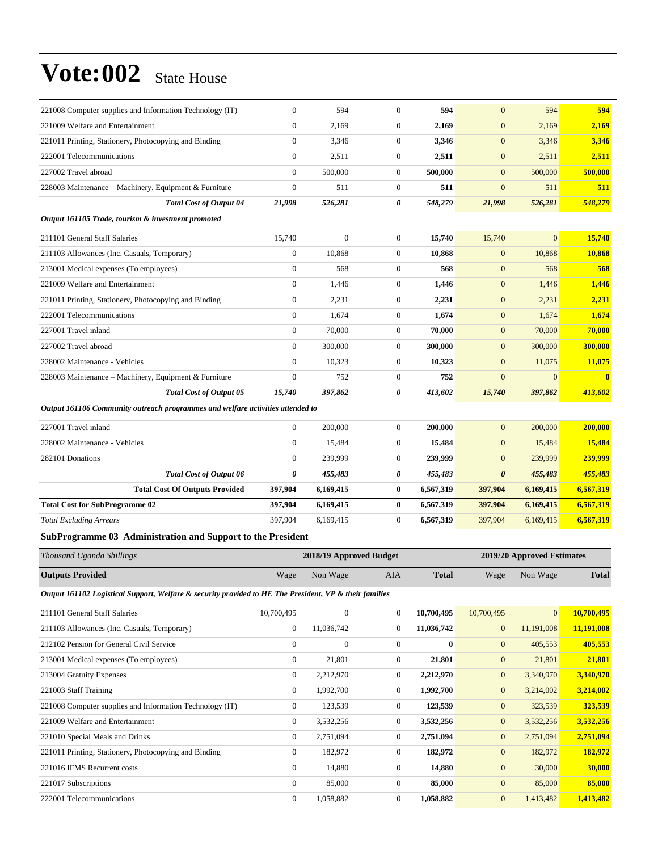| 221008 Computer supplies and Information Technology (IT)                                               | $\boldsymbol{0}$ | 594                     | $\boldsymbol{0}$      | 594          | $\mathbf{0}$          | 594                        | 594          |
|--------------------------------------------------------------------------------------------------------|------------------|-------------------------|-----------------------|--------------|-----------------------|----------------------------|--------------|
| 221009 Welfare and Entertainment                                                                       | $\overline{0}$   | 2,169                   | $\boldsymbol{0}$      | 2,169        | $\boldsymbol{0}$      | 2,169                      | 2,169        |
| 221011 Printing, Stationery, Photocopying and Binding                                                  | $\boldsymbol{0}$ | 3,346                   | $\boldsymbol{0}$      | 3,346        | $\mathbf{0}$          | 3,346                      | 3,346        |
| 222001 Telecommunications                                                                              | $\overline{0}$   | 2,511                   | $\boldsymbol{0}$      | 2,511        | $\mathbf{0}$          | 2,511                      | 2,511        |
| 227002 Travel abroad                                                                                   | $\overline{0}$   | 500,000                 | $\boldsymbol{0}$      | 500,000      | $\mathbf{0}$          | 500,000                    | 500,000      |
| 228003 Maintenance – Machinery, Equipment & Furniture                                                  | $\overline{0}$   | 511                     | $\boldsymbol{0}$      | 511          | $\overline{0}$        | 511                        | 511          |
| <b>Total Cost of Output 04</b>                                                                         | 21,998           | 526,281                 | $\boldsymbol{\theta}$ | 548,279      | 21,998                | 526,281                    | 548,279      |
| Output 161105 Trade, tourism & investment promoted                                                     |                  |                         |                       |              |                       |                            |              |
| 211101 General Staff Salaries                                                                          | 15,740           | $\overline{0}$          | $\boldsymbol{0}$      | 15,740       | 15,740                | $\mathbf{0}$               | 15,740       |
| 211103 Allowances (Inc. Casuals, Temporary)                                                            | $\boldsymbol{0}$ | 10,868                  | $\boldsymbol{0}$      | 10,868       | $\mathbf{0}$          | 10,868                     | 10,868       |
| 213001 Medical expenses (To employees)                                                                 | $\overline{0}$   | 568                     | $\boldsymbol{0}$      | 568          | $\mathbf{0}$          | 568                        | 568          |
| 221009 Welfare and Entertainment                                                                       | $\overline{0}$   | 1,446                   | $\boldsymbol{0}$      | 1,446        | $\overline{0}$        | 1,446                      | 1,446        |
| 221011 Printing, Stationery, Photocopying and Binding                                                  | $\overline{0}$   | 2,231                   | $\boldsymbol{0}$      | 2,231        | $\mathbf{0}$          | 2,231                      | 2,231        |
| 222001 Telecommunications                                                                              | $\boldsymbol{0}$ | 1,674                   | $\boldsymbol{0}$      | 1,674        | $\mathbf{0}$          | 1,674                      | 1,674        |
| 227001 Travel inland                                                                                   | $\overline{0}$   | 70,000                  | $\boldsymbol{0}$      | 70,000       | $\mathbf{0}$          | 70,000                     | 70,000       |
| 227002 Travel abroad                                                                                   | $\overline{0}$   | 300,000                 | $\boldsymbol{0}$      | 300,000      | $\mathbf{0}$          | 300,000                    | 300,000      |
| 228002 Maintenance - Vehicles                                                                          | $\overline{0}$   | 10,323                  | $\boldsymbol{0}$      | 10,323       | $\overline{0}$        | 11,075                     | 11,075       |
| 228003 Maintenance - Machinery, Equipment & Furniture                                                  | $\overline{0}$   | 752                     | $\boldsymbol{0}$      | 752          | $\overline{0}$        | $\mathbf{0}$               | $\bf{0}$     |
| <b>Total Cost of Output 05</b>                                                                         | 15,740           | 397,862                 | $\boldsymbol{\theta}$ | 413,602      | 15,740                | 397,862                    | 413,602      |
| Output 161106 Community outreach programmes and welfare activities attended to                         |                  |                         |                       |              |                       |                            |              |
| 227001 Travel inland                                                                                   | $\boldsymbol{0}$ | 200,000                 | $\boldsymbol{0}$      | 200,000      | $\mathbf{0}$          | 200,000                    | 200,000      |
| 228002 Maintenance - Vehicles                                                                          | $\overline{0}$   | 15,484                  | $\boldsymbol{0}$      | 15,484       | $\overline{0}$        | 15,484                     | 15,484       |
| 282101 Donations                                                                                       | $\mathbf{0}$     | 239,999                 | $\boldsymbol{0}$      | 239,999      | $\overline{0}$        | 239,999                    | 239,999      |
| <b>Total Cost of Output 06</b>                                                                         | 0                | 455,483                 | $\pmb{\theta}$        | 455,483      | $\boldsymbol{\theta}$ | 455,483                    | 455,483      |
| <b>Total Cost Of Outputs Provided</b>                                                                  | 397,904          | 6,169,415               | $\bf{0}$              | 6,567,319    | 397,904               | 6,169,415                  | 6,567,319    |
| <b>Total Cost for SubProgramme 02</b>                                                                  | 397,904          | 6,169,415               | $\pmb{0}$             | 6,567,319    | 397,904               | 6,169,415                  | 6,567,319    |
| <b>Total Excluding Arrears</b>                                                                         | 397.904          | 6,169,415               | $\mathbf{0}$          | 6,567,319    | 397,904               | 6,169,415                  | 6,567,319    |
| SubProgramme 03 Administration and Support to the President                                            |                  |                         |                       |              |                       |                            |              |
| Thousand Uganda Shillings                                                                              |                  | 2018/19 Approved Budget |                       |              |                       | 2019/20 Approved Estimates |              |
| <b>Outputs Provided</b>                                                                                | Wage             | Non Wage                | <b>AIA</b>            | <b>Total</b> | Wage                  | Non Wage                   | <b>Total</b> |
| Output 161102 Logistical Support, Welfare & security provided to HE The President, VP & their families |                  |                         |                       |              |                       |                            |              |
| 211101 General Staff Salaries                                                                          | 10,700,495       | $\overline{0}$          | $\boldsymbol{0}$      | 10,700,495   | 10,700,495            | $\mathbf{0}$               | 10,700,495   |
| 211103 Allowances (Inc. Casuals, Temporary)                                                            | $\boldsymbol{0}$ | 11,036,742              | $\boldsymbol{0}$      | 11,036,742   | $\mathbf{0}$          | 11,191,008                 | 11,191,008   |
| 212102 Pension for General Civil Service                                                               | $\boldsymbol{0}$ | $\boldsymbol{0}$        | $\boldsymbol{0}$      | $\bf{0}$     | $\mathbf{0}$          | 405,553                    | 405,553      |

| 212102 Pension for General Civil Service                 | 0            | $\mathbf{0}$ | 0            | $\mathbf{0}$ | $\mathbf{0}$<br>405,553     | 405,553   |
|----------------------------------------------------------|--------------|--------------|--------------|--------------|-----------------------------|-----------|
| 213001 Medical expenses (To employees)                   | $\mathbf{0}$ | 21,801       | 0            | 21,801       | 21,801<br>$\mathbf{0}$      | 21,801    |
| 213004 Gratuity Expenses                                 | $\mathbf{0}$ | 2,212,970    | 0            | 2,212,970    | $\mathbf{0}$<br>3,340,970   | 3,340,970 |
| 221003 Staff Training                                    | $\mathbf{0}$ | 1,992,700    | $\mathbf{0}$ | 1,992,700    | $\mathbf{0}$<br>3,214,002   | 3,214,002 |
| 221008 Computer supplies and Information Technology (IT) | $\mathbf{0}$ | 123,539      | $\mathbf{0}$ | 123,539      | $\overline{0}$<br>323,539   | 323,539   |
| 221009 Welfare and Entertainment                         | $\mathbf{0}$ | 3,532,256    | $\mathbf{0}$ | 3,532,256    | $\mathbf{0}$<br>3,532,256   | 3,532,256 |
| 221010 Special Meals and Drinks                          | $\mathbf{0}$ | 2,751,094    | 0            | 2,751,094    | $\overline{0}$<br>2,751,094 | 2,751,094 |
| 221011 Printing, Stationery, Photocopying and Binding    | $\mathbf{0}$ | 182,972      | $\mathbf{0}$ | 182,972      | 182,972<br>$\overline{0}$   | 182,972   |
| 221016 IFMS Recurrent costs                              | $\mathbf{0}$ | 14,880       | 0            | 14,880       | 30,000<br>$\mathbf{0}$      | 30,000    |
| 221017 Subscriptions                                     | $\mathbf{0}$ | 85,000       | $\mathbf{0}$ | 85,000       | $\mathbf{0}$<br>85,000      | 85,000    |
| 222001 Telecommunications                                | $\mathbf{0}$ | 1.058.882    | 0            | 1,058,882    | $\overline{0}$<br>1,413,482 | 1.413.482 |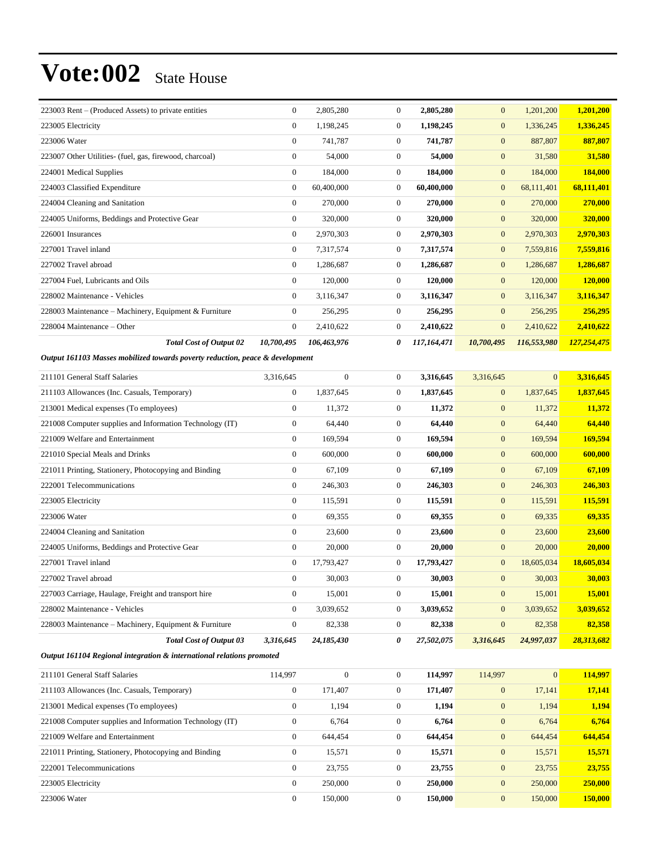| Output 161103 Masses mobilized towards poverty reduction peace & development |                |             |                |             |                |             |             |
|------------------------------------------------------------------------------|----------------|-------------|----------------|-------------|----------------|-------------|-------------|
| <b>Total Cost of Output 02</b>                                               | 10,700,495     | 106,463,976 | 0              | 117,164,471 | 10,700,495     | 116,553,980 | 127,254,475 |
| 228004 Maintenance - Other                                                   | $\overline{0}$ | 2,410,622   | 0              | 2,410,622   | $\overline{0}$ | 2,410,622   | 2,410,622   |
| 228003 Maintenance – Machinery, Equipment & Furniture                        | $\overline{0}$ | 256,295     | $\Omega$       | 256,295     | $\mathbf{0}$   | 256,295     | 256,295     |
| 228002 Maintenance - Vehicles                                                | $\overline{0}$ | 3,116,347   | $\mathbf{0}$   | 3,116,347   | $\mathbf{0}$   | 3,116,347   | 3,116,347   |
| 227004 Fuel, Lubricants and Oils                                             | $\overline{0}$ | 120,000     | $\overline{0}$ | 120,000     | $\mathbf{0}$   | 120,000     | 120,000     |
| 227002 Travel abroad                                                         | $\overline{0}$ | 1,286,687   | $\mathbf{0}$   | 1,286,687   | $\mathbf{0}$   | 1,286,687   | 1,286,687   |
| 227001 Travel inland                                                         | $\overline{0}$ | 7,317,574   | $\mathbf{0}$   | 7,317,574   | $\mathbf{0}$   | 7,559,816   | 7,559,816   |
| 226001 Insurances                                                            | $\overline{0}$ | 2,970,303   | $\mathbf{0}$   | 2,970,303   | $\mathbf{0}$   | 2,970,303   | 2,970,303   |
| 224005 Uniforms, Beddings and Protective Gear                                | $\overline{0}$ | 320,000     | $\mathbf{0}$   | 320,000     | $\mathbf{0}$   | 320,000     | 320,000     |
| 224004 Cleaning and Sanitation                                               | $\overline{0}$ | 270,000     | $\mathbf{0}$   | 270,000     | $\overline{0}$ | 270,000     | 270,000     |
| 224003 Classified Expenditure                                                | $\mathbf{0}$   | 60,400,000  | $\mathbf{0}$   | 60,400,000  | $\mathbf{0}$   | 68,111,401  | 68,111,401  |
| 224001 Medical Supplies                                                      | $\overline{0}$ | 184,000     | $\mathbf{0}$   | 184,000     | $\overline{0}$ | 184,000     | 184,000     |
| 223007 Other Utilities- (fuel, gas, firewood, charcoal)                      | 0              | 54,000      | $\mathbf{0}$   | 54,000      | $\mathbf{0}$   | 31,580      | 31,580      |
| 223006 Water                                                                 | $\overline{0}$ | 741,787     | $\mathbf{0}$   | 741,787     | $\mathbf{0}$   | 887,807     | 887,807     |
| 223005 Electricity                                                           | $\overline{0}$ | 1,198,245   | $\mathbf{0}$   | 1,198,245   | $\mathbf{0}$   | 1,336,245   | 1,336,245   |
| 223003 Rent – (Produced Assets) to private entities                          | $\overline{0}$ | 2,805,280   | $\mathbf{0}$   | 2,805,280   | $\mathbf{0}$   | 1,201,200   | 1,201,200   |
|                                                                              |                |             |                |             |                |             |             |

*Output 161103 Masses mobilized towards poverty reduction, peace & development*

| 211101 General Staff Salaries                            | 3,316,645    | $\mathbf{0}$ | $\Omega$       | 3,316,645  | 3,316,645      | $\Omega$   | 3,316,645  |
|----------------------------------------------------------|--------------|--------------|----------------|------------|----------------|------------|------------|
| 211103 Allowances (Inc. Casuals, Temporary)              | $\mathbf{0}$ | 1,837,645    | $\mathbf{0}$   | 1,837,645  | $\mathbf{0}$   | 1,837,645  | 1,837,645  |
| 213001 Medical expenses (To employees)                   | $\mathbf{0}$ | 11,372       | $\mathbf{0}$   | 11,372     | $\overline{0}$ | 11,372     | 11,372     |
| 221008 Computer supplies and Information Technology (IT) | $\mathbf{0}$ | 64,440       | $\mathbf{0}$   | 64,440     | $\mathbf{0}$   | 64,440     | 64,440     |
| 221009 Welfare and Entertainment                         | $\mathbf{0}$ | 169,594      | $\mathbf{0}$   | 169,594    | $\mathbf{0}$   | 169,594    | 169,594    |
| 221010 Special Meals and Drinks                          | $\mathbf{0}$ | 600,000      | $\Omega$       | 600,000    | $\mathbf{0}$   | 600,000    | 600,000    |
| 221011 Printing, Stationery, Photocopying and Binding    | $\mathbf{0}$ | 67,109       | $\mathbf{0}$   | 67,109     | $\overline{0}$ | 67,109     | 67,109     |
| 222001 Telecommunications                                | $\mathbf{0}$ | 246,303      | $\Omega$       | 246,303    | $\overline{0}$ | 246,303    | 246,303    |
| 223005 Electricity                                       | $\mathbf{0}$ | 115,591      | $\mathbf{0}$   | 115,591    | $\overline{0}$ | 115,591    | 115,591    |
| 223006 Water                                             | $\mathbf{0}$ | 69,355       | $\mathbf{0}$   | 69,355     | $\overline{0}$ | 69,335     | 69,335     |
| 224004 Cleaning and Sanitation                           | $\mathbf{0}$ | 23,600       | $\theta$       | 23,600     | $\mathbf{0}$   | 23,600     | 23,600     |
| 224005 Uniforms, Beddings and Protective Gear            | $\mathbf{0}$ | 20,000       | $\mathbf{0}$   | 20,000     | $\mathbf{0}$   | 20,000     | 20,000     |
| 227001 Travel inland                                     | $\mathbf{0}$ | 17,793,427   | $\mathbf{0}$   | 17,793,427 | $\overline{0}$ | 18,605,034 | 18,605,034 |
| 227002 Travel abroad                                     | $\Omega$     | 30,003       | $\mathbf{0}$   | 30,003     | $\mathbf{0}$   | 30,003     | 30,003     |
| 227003 Carriage, Haulage, Freight and transport hire     | $\mathbf{0}$ | 15,001       | $\mathbf{0}$   | 15,001     | $\mathbf{0}$   | 15,001     | 15,001     |
| 228002 Maintenance - Vehicles                            | $\mathbf{0}$ | 3,039,652    | $\mathbf{0}$   | 3,039,652  | $\overline{0}$ | 3,039,652  | 3,039,652  |
| 228003 Maintenance – Machinery, Equipment & Furniture    | $\mathbf{0}$ | 82,338       | $\overline{0}$ | 82,338     | $\mathbf{0}$   | 82,358     | 82,358     |
| <b>Total Cost of Output 03</b>                           | 3,316,645    | 24,185,430   | 0              | 27,502,075 | 3,316,645      | 24,997,037 | 28,313,682 |

*Output 161104 Regional integration & international relations promoted*

| 211101 General Staff Salaries                            | 114.997      | $\mathbf{0}$ | $\Omega$ | 114,997 | 114,997        | $\overline{0}$ | 114,997 |
|----------------------------------------------------------|--------------|--------------|----------|---------|----------------|----------------|---------|
| 211103 Allowances (Inc. Casuals, Temporary)              | $\theta$     | 171.407      | 0        | 171,407 | $\overline{0}$ | 17.141         | 17,141  |
| 213001 Medical expenses (To employees)                   | $\theta$     | 1,194        | 0        | 1,194   | $\overline{0}$ | 1,194          | 1,194   |
| 221008 Computer supplies and Information Technology (IT) | $\Omega$     | 6,764        | $\Omega$ | 6.764   | $\overline{0}$ | 6,764          | 6.764   |
| 221009 Welfare and Entertainment                         | $\Omega$     | 644,454      | $\Omega$ | 644,454 | $\overline{0}$ | 644,454        | 644,454 |
| 221011 Printing, Stationery, Photocopying and Binding    | $\mathbf{0}$ | 15,571       | $\Omega$ | 15,571  | $\overline{0}$ | 15,571         | 15,571  |
| 222001 Telecommunications                                | $\mathbf{0}$ | 23.755       | 0        | 23,755  | $\overline{0}$ | 23,755         | 23,755  |
| 223005 Electricity                                       | $\Omega$     | 250,000      | $\Omega$ | 250,000 | $\overline{0}$ | 250,000        | 250,000 |
| 223006 Water                                             | $\Omega$     | 150,000      | 0        | 150.000 | $\overline{0}$ | 150,000        | 150,000 |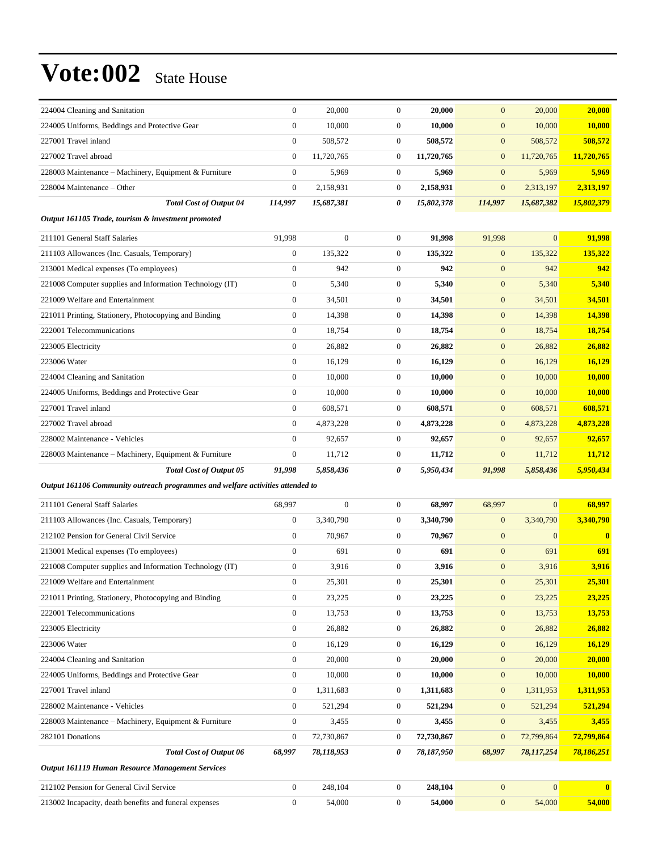| 224004 Cleaning and Sanitation                                                 | $\boldsymbol{0}$ | 20,000         | $\mathbf{0}$     | 20,000     | $\mathbf{0}$     | 20,000           | 20,000                  |
|--------------------------------------------------------------------------------|------------------|----------------|------------------|------------|------------------|------------------|-------------------------|
| 224005 Uniforms, Beddings and Protective Gear                                  | $\mathbf{0}$     | 10,000         | $\boldsymbol{0}$ | 10,000     | $\mathbf{0}$     | 10,000           | <b>10,000</b>           |
| 227001 Travel inland                                                           | $\theta$         | 508,572        | $\mathbf{0}$     | 508,572    | $\mathbf{0}$     | 508,572          | 508,572                 |
| 227002 Travel abroad                                                           | $\mathbf{0}$     | 11,720,765     | $\boldsymbol{0}$ | 11,720,765 | $\boldsymbol{0}$ | 11,720,765       | 11,720,765              |
| 228003 Maintenance - Machinery, Equipment & Furniture                          | $\mathbf{0}$     | 5,969          | $\boldsymbol{0}$ | 5,969      | $\mathbf{0}$     | 5,969            | 5,969                   |
| 228004 Maintenance – Other                                                     | $\boldsymbol{0}$ | 2,158,931      | $\boldsymbol{0}$ | 2,158,931  | $\mathbf{0}$     | 2,313,197        | 2,313,197               |
| <b>Total Cost of Output 04</b>                                                 | 114,997          | 15,687,381     | 0                | 15,802,378 | 114,997          | 15,687,382       | 15,802,379              |
| Output 161105 Trade, tourism & investment promoted                             |                  |                |                  |            |                  |                  |                         |
| 211101 General Staff Salaries                                                  | 91,998           | $\overline{0}$ | $\mathbf{0}$     | 91,998     | 91,998           | $\overline{0}$   | 91,998                  |
| 211103 Allowances (Inc. Casuals, Temporary)                                    | $\boldsymbol{0}$ | 135,322        | $\boldsymbol{0}$ | 135,322    | $\boldsymbol{0}$ | 135,322          | 135,322                 |
| 213001 Medical expenses (To employees)                                         | $\mathbf{0}$     | 942            | $\boldsymbol{0}$ | 942        | $\mathbf{0}$     | 942              | 942                     |
| 221008 Computer supplies and Information Technology (IT)                       | $\boldsymbol{0}$ | 5,340          | $\boldsymbol{0}$ | 5,340      | $\mathbf{0}$     | 5,340            | 5,340                   |
| 221009 Welfare and Entertainment                                               | $\mathbf{0}$     | 34,501         | $\boldsymbol{0}$ | 34,501     | $\mathbf{0}$     | 34,501           | 34,501                  |
| 221011 Printing, Stationery, Photocopying and Binding                          | $\mathbf{0}$     | 14,398         | $\boldsymbol{0}$ | 14,398     | $\mathbf{0}$     | 14,398           | 14,398                  |
| 222001 Telecommunications                                                      | $\mathbf{0}$     | 18,754         | $\boldsymbol{0}$ | 18,754     | $\boldsymbol{0}$ | 18,754           | 18,754                  |
| 223005 Electricity                                                             | $\mathbf{0}$     | 26,882         | $\mathbf{0}$     | 26,882     | $\mathbf{0}$     | 26,882           | 26,882                  |
| 223006 Water                                                                   | $\boldsymbol{0}$ | 16,129         | $\boldsymbol{0}$ | 16,129     | $\mathbf{0}$     | 16,129           | 16,129                  |
| 224004 Cleaning and Sanitation                                                 | $\mathbf{0}$     | 10,000         | $\mathbf{0}$     | 10,000     | $\mathbf{0}$     | 10,000           | <b>10,000</b>           |
| 224005 Uniforms, Beddings and Protective Gear                                  | $\boldsymbol{0}$ | 10,000         | $\boldsymbol{0}$ | 10,000     | $\mathbf{0}$     | 10,000           | 10,000                  |
| 227001 Travel inland                                                           | $\mathbf{0}$     | 608,571        | $\boldsymbol{0}$ | 608,571    | $\boldsymbol{0}$ | 608,571          | 608,571                 |
| 227002 Travel abroad                                                           | $\boldsymbol{0}$ | 4,873,228      | 0                | 4,873,228  | $\mathbf{0}$     | 4,873,228        | 4,873,228               |
| 228002 Maintenance - Vehicles                                                  | $\mathbf{0}$     | 92,657         | $\boldsymbol{0}$ | 92,657     | $\mathbf{0}$     | 92,657           | 92,657                  |
| 228003 Maintenance – Machinery, Equipment & Furniture                          | $\theta$         | 11,712         | $\boldsymbol{0}$ | 11,712     | $\mathbf{0}$     | 11,712           | 11,712                  |
| <b>Total Cost of Output 05</b>                                                 | 91,998           | 5,858,436      | 0                | 5,950,434  | 91,998           | 5,858,436        | 5,950,434               |
|                                                                                |                  |                |                  |            |                  |                  |                         |
| Output 161106 Community outreach programmes and welfare activities attended to |                  |                |                  |            |                  |                  |                         |
| 211101 General Staff Salaries                                                  | 68,997           | $\overline{0}$ | $\boldsymbol{0}$ | 68,997     | 68,997           | $\overline{0}$   | 68,997                  |
| 211103 Allowances (Inc. Casuals, Temporary)                                    | $\boldsymbol{0}$ | 3,340,790      | $\boldsymbol{0}$ | 3,340,790  | $\mathbf{0}$     | 3,340,790        | 3,340,790               |
| 212102 Pension for General Civil Service                                       | $\theta$         | 70,967         | $\boldsymbol{0}$ | 70,967     | $\mathbf{0}$     | $\mathbf{0}$     | $\overline{\mathbf{0}}$ |
| 213001 Medical expenses (To employees)                                         | $\mathbf{0}$     | 691            | $\mathbf{0}$     | 691        | $\mathbf{0}$     | 691              | 691                     |
| 221008 Computer supplies and Information Technology (IT)                       | $\boldsymbol{0}$ | 3,916          | $\overline{0}$   | 3,916      | $\mathbf{0}$     | 3,916            | 3,916                   |
| 221009 Welfare and Entertainment                                               | $\boldsymbol{0}$ | 25,301         | $\boldsymbol{0}$ | 25,301     | $\mathbf{0}$     | 25,301           | 25,301                  |
| 221011 Printing, Stationery, Photocopying and Binding                          | $\boldsymbol{0}$ | 23,225         | $\boldsymbol{0}$ | 23,225     | $\mathbf{0}$     | 23,225           | 23,225                  |
| 222001 Telecommunications                                                      | $\boldsymbol{0}$ | 13,753         | $\boldsymbol{0}$ | 13,753     | $\boldsymbol{0}$ | 13,753           | 13,753                  |
| 223005 Electricity                                                             | $\boldsymbol{0}$ | 26,882         | 0                | 26,882     | $\boldsymbol{0}$ | 26,882           | 26,882                  |
| 223006 Water                                                                   | $\boldsymbol{0}$ | 16,129         | 0                | 16,129     | $\mathbf{0}$     | 16,129           | 16,129                  |
| 224004 Cleaning and Sanitation                                                 | $\boldsymbol{0}$ | 20,000         | $\boldsymbol{0}$ | 20,000     | $\boldsymbol{0}$ | 20,000           | 20,000                  |
| 224005 Uniforms, Beddings and Protective Gear                                  | $\mathbf{0}$     | 10,000         | 0                | 10,000     | $\mathbf{0}$     | 10,000           | 10,000                  |
| 227001 Travel inland                                                           | $\mathbf{0}$     | 1,311,683      | $\boldsymbol{0}$ | 1,311,683  | $\boldsymbol{0}$ | 1,311,953        | 1,311,953               |
| 228002 Maintenance - Vehicles                                                  | $\mathbf{0}$     | 521,294        | 0                | 521,294    | $\mathbf{0}$     | 521,294          | 521,294                 |
| 228003 Maintenance - Machinery, Equipment & Furniture                          | $\boldsymbol{0}$ | 3,455          | 0                | 3,455      | $\mathbf{0}$     | 3,455            | 3,455                   |
| 282101 Donations                                                               | $\mathbf{0}$     | 72,730,867     | $\boldsymbol{0}$ | 72,730,867 | $\boldsymbol{0}$ | 72,799,864       | 72,799,864              |
| <b>Total Cost of Output 06</b>                                                 | 68,997           | 78,118,953     | 0                | 78,187,950 | 68,997           | 78,117,254       | 78,186,251              |
| Output 161119 Human Resource Management Services                               |                  |                |                  |            |                  |                  |                         |
| 212102 Pension for General Civil Service                                       | $\mathbf{0}$     | 248,104        | $\mathbf{0}$     | 248,104    | $\boldsymbol{0}$ | $\boldsymbol{0}$ | $\bf{0}$                |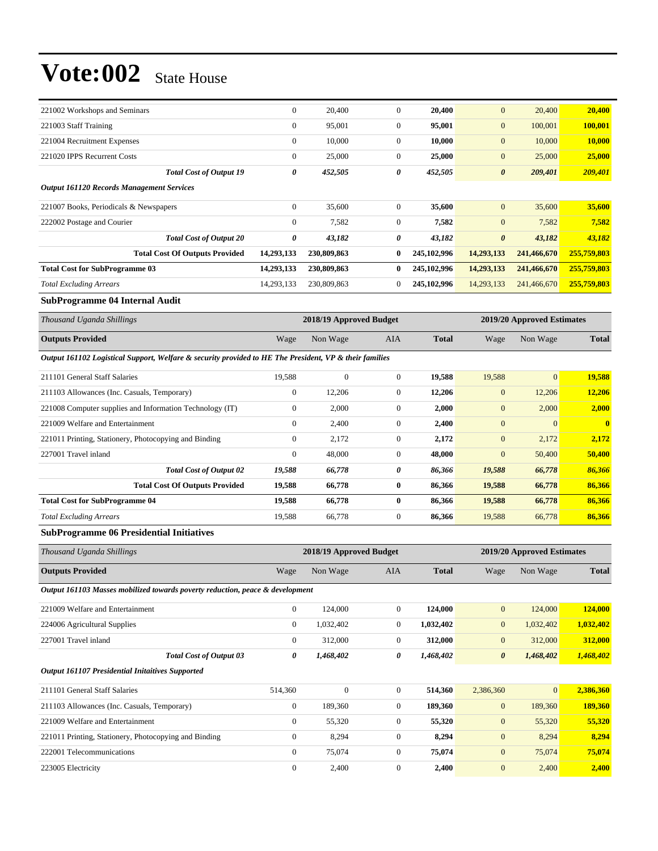| 221002 Workshops and Seminars                    |                                       | $\mathbf{0}$     | 20,400      | $\overline{0}$ | 20,400      | $\mathbf{0}$          | 20,400      | 20,400      |
|--------------------------------------------------|---------------------------------------|------------------|-------------|----------------|-------------|-----------------------|-------------|-------------|
| 221003 Staff Training                            |                                       | $\boldsymbol{0}$ | 95,001      | $\overline{0}$ | 95,001      | $\mathbf{0}$          | 100,001     | 100,001     |
| 221004 Recruitment Expenses                      |                                       | $\boldsymbol{0}$ | 10,000      | $\overline{0}$ | 10,000      | $\mathbf{0}$          | 10,000      | 10,000      |
| 221020 IPPS Recurrent Costs                      |                                       | $\mathbf{0}$     | 25,000      | $\overline{0}$ | 25,000      | $\mathbf{0}$          | 25,000      | 25,000      |
|                                                  | <b>Total Cost of Output 19</b>        | 0                | 452,505     | 0              | 452,505     | $\boldsymbol{\theta}$ | 209,401     | 209,401     |
| <b>Output 161120 Records Management Services</b> |                                       |                  |             |                |             |                       |             |             |
| 221007 Books, Periodicals & Newspapers           |                                       | $\mathbf{0}$     | 35,600      | $\overline{0}$ | 35,600      | $\mathbf{0}$          | 35,600      | 35,600      |
| 222002 Postage and Courier                       |                                       | $\mathbf{0}$     | 7,582       | $\theta$       | 7,582       | $\mathbf{0}$          | 7,582       | 7,582       |
|                                                  | <b>Total Cost of Output 20</b>        | 0                | 43,182      | 0              | 43,182      | $\boldsymbol{\theta}$ | 43,182      | 43,182      |
|                                                  | <b>Total Cost Of Outputs Provided</b> | 14,293,133       | 230,809,863 | $\bf{0}$       | 245,102,996 | 14,293,133            | 241,466,670 | 255,759,803 |
| <b>Total Cost for SubProgramme 03</b>            |                                       | 14,293,133       | 230,809,863 | 0              | 245,102,996 | 14,293,133            | 241,466,670 | 255,759,803 |
| <b>Total Excluding Arrears</b>                   |                                       | 14,293,133       | 230,809,863 | $\overline{0}$ | 245,102,996 | 14,293,133            | 241,466,670 | 255,759,803 |
|                                                  |                                       |                  |             |                |             |                       |             |             |

#### **SubProgramme 04 Internal Audit**

| Thousand Uganda Shillings | 2018/19 Approved Budget |          |     |              |      | 2019/20 Approved Estimates |              |  |
|---------------------------|-------------------------|----------|-----|--------------|------|----------------------------|--------------|--|
| <b>Outputs Provided</b>   | Wage                    | Non Wage | AIA | <b>Total</b> | Wage | Non Wage                   | <b>Total</b> |  |

*Output 161102 Logistical Support, Welfare & security provided to HE The President, VP & their families*

| $\Omega$<br>221011 Printing, Stationery, Photocopying and Binding<br>$\mathbf{0}$<br>227001 Travel inland | 2,172<br>48,000 | $\mathbf{0}$<br>$\mathbf{0}$ | 2,172<br>48,000 | $\overline{0}$<br>$\overline{0}$ | 2,172<br>50,400 | 50,400       |
|-----------------------------------------------------------------------------------------------------------|-----------------|------------------------------|-----------------|----------------------------------|-----------------|--------------|
|                                                                                                           |                 |                              |                 |                                  |                 |              |
|                                                                                                           |                 |                              |                 |                                  |                 | 2.172        |
| 221009 Welfare and Entertainment<br>$\theta$                                                              | 2,400           | $\mathbf{0}$                 | 2,400           | $\mathbf{0}$                     | $\Omega$        | $\mathbf{0}$ |
| $\mathbf{0}$<br>221008 Computer supplies and Information Technology (IT)                                  | 2,000           | $\mathbf{0}$                 | 2,000           | $\mathbf{0}$                     | 2,000           | 2,000        |
| $\theta$<br>211103 Allowances (Inc. Casuals, Temporary)                                                   | 12,206          | $\mathbf{0}$                 | 12,206          | $\overline{0}$                   | 12,206          | 12.206       |
| 19.588<br>211101 General Staff Salaries                                                                   | $\mathbf{0}$    | $\mathbf{0}$                 | 19,588          | 19,588                           | $\mathbf{0}$    | 19,588       |

#### **SubProgramme 06 Presidential Initiatives**

| Thousand Uganda Shillings                                                     | 2018/19 Approved Budget |              |              |              |                       | 2019/20 Approved Estimates |              |  |
|-------------------------------------------------------------------------------|-------------------------|--------------|--------------|--------------|-----------------------|----------------------------|--------------|--|
| <b>Outputs Provided</b>                                                       | Wage                    | Non Wage     | <b>AIA</b>   | <b>Total</b> | Wage                  | Non Wage                   | <b>Total</b> |  |
| Output 161103 Masses mobilized towards poverty reduction, peace & development |                         |              |              |              |                       |                            |              |  |
| 221009 Welfare and Entertainment                                              | $\overline{0}$          | 124,000      | $\mathbf{0}$ | 124,000      | $\mathbf{0}$          | 124,000                    | 124,000      |  |
| 224006 Agricultural Supplies                                                  | $\mathbf{0}$            | 1,032,402    | $\mathbf{0}$ | 1,032,402    | $\mathbf{0}$          | 1,032,402                  | 1,032,402    |  |
| 227001 Travel inland                                                          | $\mathbf{0}$            | 312,000      | $\theta$     | 312,000      | $\overline{0}$        | 312,000                    | 312,000      |  |
| <b>Total Cost of Output 03</b>                                                | 0                       | 1,468,402    | 0            | 1,468,402    | $\boldsymbol{\theta}$ | 1,468,402                  | 1,468,402    |  |
| <b>Output 161107 Presidential Initaitives Supported</b>                       |                         |              |              |              |                       |                            |              |  |
| 211101 General Staff Salaries                                                 | 514,360                 | $\mathbf{0}$ | $\mathbf{0}$ | 514,360      | 2,386,360             | $\mathbf{0}$               | 2,386,360    |  |
| 211103 Allowances (Inc. Casuals, Temporary)                                   | $\theta$                | 189,360      | $\Omega$     | 189,360      | $\overline{0}$        | 189,360                    | 189,360      |  |
| 221009 Welfare and Entertainment                                              | $\mathbf{0}$            | 55,320       | $\mathbf{0}$ | 55,320       | $\mathbf{0}$          | 55,320                     | 55,320       |  |
| 221011 Printing, Stationery, Photocopying and Binding                         | $\overline{0}$          | 8,294        | $\Omega$     | 8,294        | $\overline{0}$        | 8,294                      | 8,294        |  |
| 222001 Telecommunications                                                     | $\mathbf{0}$            | 75,074       | $\mathbf{0}$ | 75,074       | $\mathbf{0}$          | 75,074                     | 75,074       |  |
| 223005 Electricity                                                            | $\Omega$                | 2,400        | $\Omega$     | 2,400        | $\overline{0}$        | 2,400                      | 2,400        |  |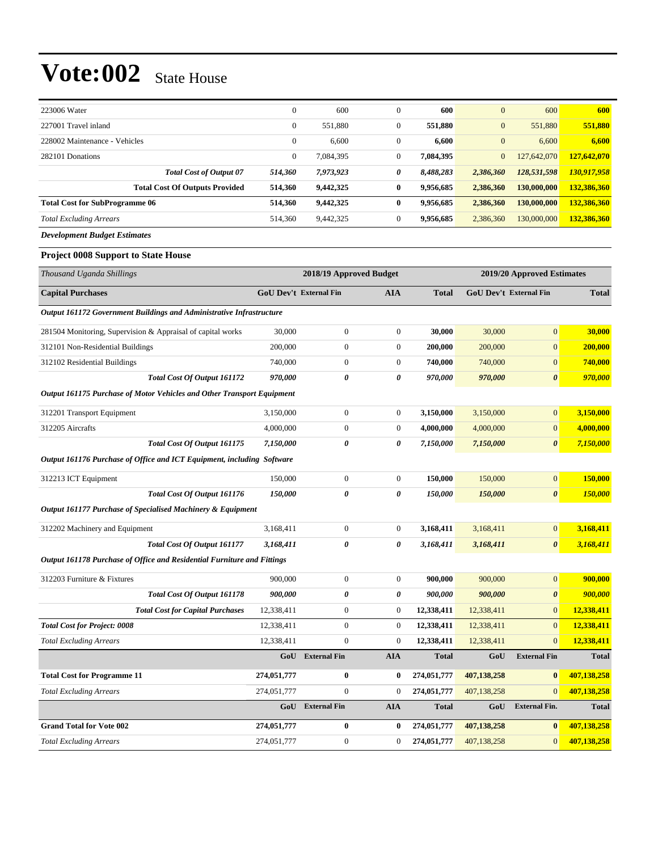| 223006 Water                          | $\mathbf{0}$ | 600       | $\theta$         | 600       | $\overline{0}$ | 600         | 600         |
|---------------------------------------|--------------|-----------|------------------|-----------|----------------|-------------|-------------|
| 227001 Travel inland                  | $\mathbf{0}$ | 551,880   | $\boldsymbol{0}$ | 551,880   | $\overline{0}$ | 551,880     | 551,880     |
| 228002 Maintenance - Vehicles         | $\mathbf{0}$ | 6,600     | $\theta$         | 6,600     | $\overline{0}$ | 6,600       | 6,600       |
| 282101 Donations                      | $\mathbf{0}$ | 7.084.395 | $\mathbf{0}$     | 7,084,395 | $\overline{0}$ | 127,642,070 | 127,642,070 |
| <b>Total Cost of Output 07</b>        | 514,360      | 7,973,923 | 0                | 8,488,283 | 2,386,360      | 128,531,598 | 130,917,958 |
| <b>Total Cost Of Outputs Provided</b> | 514.360      | 9,442,325 | $\bf{0}$         | 9,956,685 | 2,386,360      | 130,000,000 | 132,386,360 |
| <b>Total Cost for SubProgramme 06</b> | 514.360      | 9,442,325 | $\bf{0}$         | 9,956,685 | 2,386,360      | 130,000,000 | 132,386,360 |
| <b>Total Excluding Arrears</b>        | 514,360      | 9,442,325 | $\mathbf{0}$     | 9,956,685 | 2,386,360      | 130,000,000 | 132,386,360 |
| <b>Development Budget Estimates</b>   |              |           |                  |           |                |             |             |

#### **Project 0008 Support to State House**

| Thousand Uganda Shillings                                               | 2018/19 Approved Budget       |                     |                  | 2019/20 Approved Estimates |                               |                       |              |
|-------------------------------------------------------------------------|-------------------------------|---------------------|------------------|----------------------------|-------------------------------|-----------------------|--------------|
| <b>Capital Purchases</b>                                                | <b>GoU Dev't External Fin</b> |                     | AIA              | <b>Total</b>               | <b>GoU Dev't External Fin</b> |                       | <b>Total</b> |
| Output 161172 Government Buildings and Administrative Infrastructure    |                               |                     |                  |                            |                               |                       |              |
| 281504 Monitoring, Supervision & Appraisal of capital works             | 30,000                        | $\boldsymbol{0}$    | $\mathbf{0}$     | 30,000                     | 30,000                        | $\overline{0}$        | 30,000       |
| 312101 Non-Residential Buildings                                        | 200,000                       | $\boldsymbol{0}$    | $\boldsymbol{0}$ | 200,000                    | 200,000                       | $\boldsymbol{0}$      | 200,000      |
| 312102 Residential Buildings                                            | 740,000                       | $\boldsymbol{0}$    | $\boldsymbol{0}$ | 740,000                    | 740,000                       | $\boldsymbol{0}$      | 740,000      |
| Total Cost Of Output 161172                                             | 970,000                       | 0                   | 0                | 970,000                    | 970,000                       | $\boldsymbol{\theta}$ | 970,000      |
| Output 161175 Purchase of Motor Vehicles and Other Transport Equipment  |                               |                     |                  |                            |                               |                       |              |
| 312201 Transport Equipment                                              | 3,150,000                     | $\boldsymbol{0}$    | $\boldsymbol{0}$ | 3,150,000                  | 3,150,000                     | $\overline{0}$        | 3,150,000    |
| 312205 Aircrafts                                                        | 4,000,000                     | $\boldsymbol{0}$    | $\overline{0}$   | 4,000,000                  | 4,000,000                     | $\overline{0}$        | 4,000,000    |
| Total Cost Of Output 161175                                             | 7,150,000                     | 0                   | 0                | 7,150,000                  | 7,150,000                     | $\boldsymbol{\theta}$ | 7,150,000    |
| Output 161176 Purchase of Office and ICT Equipment, including Software  |                               |                     |                  |                            |                               |                       |              |
| 312213 ICT Equipment                                                    | 150,000                       | $\boldsymbol{0}$    | $\overline{0}$   | 150,000                    | 150,000                       | $\overline{0}$        | 150,000      |
| Total Cost Of Output 161176                                             | 150,000                       | 0                   | 0                | 150,000                    | 150,000                       | $\boldsymbol{\theta}$ | 150,000      |
| Output 161177 Purchase of Specialised Machinery & Equipment             |                               |                     |                  |                            |                               |                       |              |
| 312202 Machinery and Equipment                                          | 3,168,411                     | $\boldsymbol{0}$    | $\boldsymbol{0}$ | 3,168,411                  | 3,168,411                     | $\overline{0}$        | 3,168,411    |
| Total Cost Of Output 161177                                             | 3,168,411                     | 0                   | 0                | 3,168,411                  | 3,168,411                     | $\boldsymbol{\theta}$ | 3,168,411    |
| Output 161178 Purchase of Office and Residential Furniture and Fittings |                               |                     |                  |                            |                               |                       |              |
| 312203 Furniture & Fixtures                                             | 900,000                       | $\boldsymbol{0}$    | $\boldsymbol{0}$ | 900,000                    | 900,000                       | $\overline{0}$        | 900,000      |
| Total Cost Of Output 161178                                             | 900,000                       | 0                   | 0                | 900,000                    | 900,000                       | $\boldsymbol{\theta}$ | 900,000      |
| <b>Total Cost for Capital Purchases</b>                                 | 12,338,411                    | $\boldsymbol{0}$    | $\overline{0}$   | 12,338,411                 | 12,338,411                    | $\overline{0}$        | 12,338,411   |
| <b>Total Cost for Project: 0008</b>                                     | 12,338,411                    | $\boldsymbol{0}$    | $\overline{0}$   | 12,338,411                 | 12,338,411                    | $\overline{0}$        | 12,338,411   |
| <b>Total Excluding Arrears</b>                                          | 12,338,411                    | $\boldsymbol{0}$    | $\boldsymbol{0}$ | 12,338,411                 | 12,338,411                    | $\overline{0}$        | 12,338,411   |
|                                                                         | GoU                           | <b>External Fin</b> | <b>AIA</b>       | <b>Total</b>               | GoU                           | <b>External Fin</b>   | <b>Total</b> |
| <b>Total Cost for Programme 11</b>                                      | 274,051,777                   | 0                   | $\bf{0}$         | 274,051,777                | 407,138,258                   | $\bf{0}$              | 407,138,258  |
| <b>Total Excluding Arrears</b>                                          | 274,051,777                   | $\boldsymbol{0}$    | $\mathbf{0}$     | 274,051,777                | 407,138,258                   | $\overline{0}$        | 407,138,258  |
|                                                                         | GoU                           | <b>External Fin</b> | <b>AIA</b>       | <b>Total</b>               | GoU                           | <b>External Fin.</b>  | <b>Total</b> |
| <b>Grand Total for Vote 002</b>                                         | 274,051,777                   | $\bf{0}$            | $\bf{0}$         | 274,051,777                | 407,138,258                   | $\bf{0}$              | 407,138,258  |
| <b>Total Excluding Arrears</b>                                          | 274,051,777                   | $\overline{0}$      | $\overline{0}$   | 274,051,777                | 407,138,258                   | $\overline{0}$        | 407,138,258  |